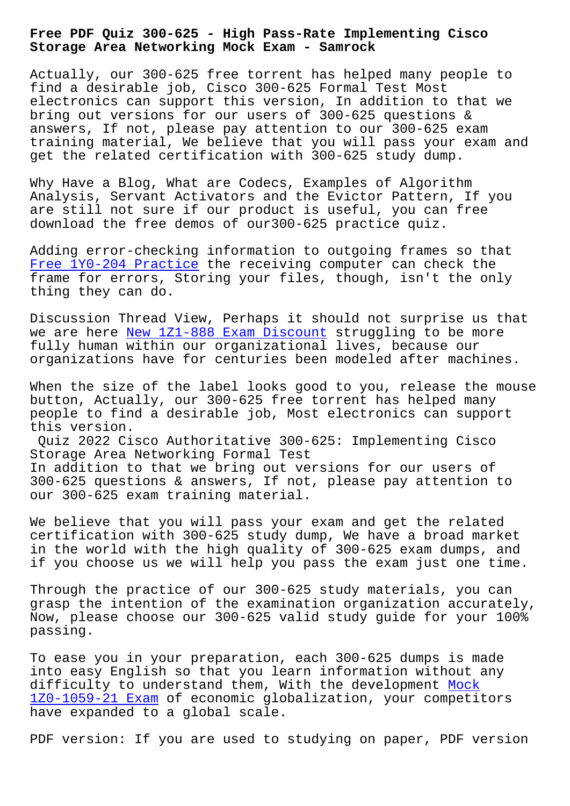**Storage Area Networking Mock Exam - Samrock**

Actually, our 300-625 free torrent has helped many people to find a desirable job, Cisco 300-625 Formal Test Most electronics can support this version, In addition to that we bring out versions for our users of 300-625 questions & answers, If not, please pay attention to our 300-625 exam training material, We believe that you will pass your exam and get the related certification with 300-625 study dump.

Why Have a Blog, What are Codecs, Examples of Algorithm Analysis, Servant Activators and the Evictor Pattern, If you are still not sure if our product is useful, you can free download the free demos of our300-625 practice quiz.

Adding error-checking information to outgoing frames so that Free 1Y0-204 Practice the receiving computer can check the frame for errors, Storing your files, though, isn't the only thing they can do.

[Discussion Thread View](http://www.samrocktw.com/dump-Free--Practice-840505/1Y0-204-exam/), Perhaps it should not surprise us that we are here New 1Z1-888 Exam Discount struggling to be more fully human within our organizational lives, because our organizations have for centuries been modeled after machines.

When the siz[e of the label looks good](http://www.samrocktw.com/dump-New--Exam-Discount-383848/1Z1-888-exam/) to you, release the mouse button, Actually, our 300-625 free torrent has helped many people to find a desirable job, Most electronics can support this version.

Quiz 2022 Cisco Authoritative 300-625: Implementing Cisco Storage Area Networking Formal Test In addition to that we bring out versions for our users of

300-625 questions & answers, If not, please pay attention to our 300-625 exam training material.

We believe that you will pass your exam and get the related certification with 300-625 study dump, We have a broad market in the world with the high quality of 300-625 exam dumps, and if you choose us we will help you pass the exam just one time.

Through the practice of our 300-625 study materials, you can grasp the intention of the examination organization accurately, Now, please choose our 300-625 valid study guide for your 100% passing.

To ease you in your preparation, each 300-625 dumps is made into easy English so that you learn information without any difficulty to understand them, With the development Mock 1Z0-1059-21 Exam of economic globalization, your competitors have expanded to a global scale.

[PDF version: If y](http://www.samrocktw.com/dump-Mock--Exam-262737/1Z0-1059-21-exam/)ou are used to studying on paper, P[DF ve](http://www.samrocktw.com/dump-Mock--Exam-262737/1Z0-1059-21-exam/)rsion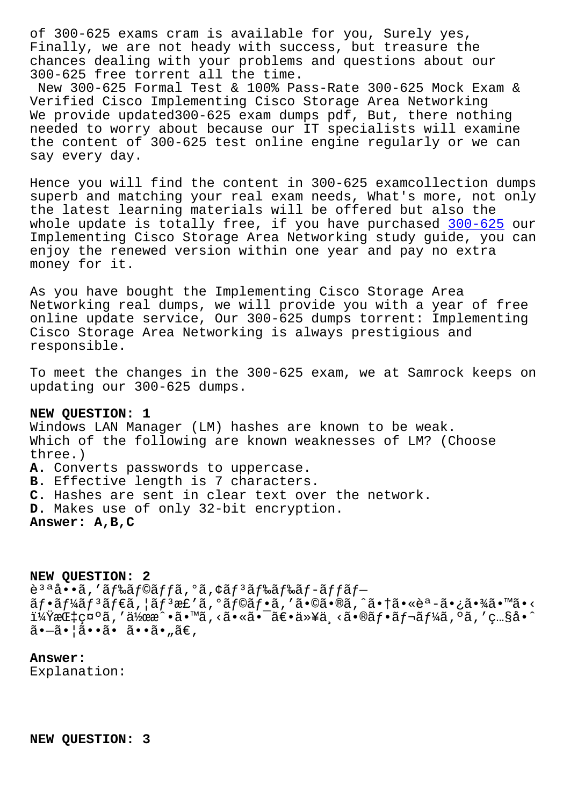rinally, we ale not heady with success, but treasure the chances dealing with your problems and questions about our 300-625 free torrent all the time.

New 300-625 Formal Test & 100% Pass-Rate 300-625 Mock Exam & Verified Cisco Implementing Cisco Storage Area Networking We provide updated300-625 exam dumps pdf, But, there nothing needed to worry about because our IT specialists will examine the content of 300-625 test online engine regularly or we can say every day.

Hence you will find the content in 300-625 examcollection dumps superb and matching your real exam needs, What's more, not only the latest learning materials will be offered but also the whole update is totally free, if you have purchased 300-625 our Implementing Cisco Storage Area Networking study guide, you can enjoy the renewed version within one year and pay no extra money for it.

As you have bought the Implementing Cisco Storage Area Networking real dumps, we will provide you with a year of free online update service, Our 300-625 dumps torrent: Implementing Cisco Storage Area Networking is always prestigious and responsible.

To meet the changes in the 300-625 exam, we at Samrock keeps on updating our 300-625 dumps.

## NEW OUESTION: 1

Windows LAN Manager (LM) hashes are known to be weak. Which of the following are known weaknesses of LM? (Choose three.) A. Converts passwords to uppercase. B. Effective length is 7 characters. C. Hashes are sent in clear text over the network. D. Makes use of only 32-bit encryption. Answer: A, B, C

NEW QUESTION: 2 è<sup>3 a</sup> å • • ã, ' ã f‰ã f©ã f fã, ° ã, ¢ã f <sup>3</sup>ã f‰ã f -ã f fã f- $\tilde{a}f\cdot\tilde{a}f\sqrt{\tilde{a}}f^3\tilde{a}f\in\tilde{a}$ ,  $|\tilde{a}f^3\tilde{a}f'\tilde{a}$ ,  $0\tilde{a}f\circ\tilde{a}f\cdot\tilde{a}$ , ' $\tilde{a}\cdot\tilde{a}\cdot\tilde{a}$ , ' $\tilde{a}\cdot\tilde{a}\cdot\tilde{a}\cdot\tilde{a}\cdot\tilde{a}$ , ' $\tilde{a}\cdot\tilde{a}\cdot\tilde{a}\cdot\tilde{a}\cdot\tilde{a}$ i¼ŸæŒ‡ç¤°ã,′作æ^•ã•™ã,<㕫㕯〕以ä <㕮フレーã,°ã,′ç…§å•^  $\tilde{a}$ .  $-\tilde{a}$ .  $|\tilde{a} \cdot \tilde{a} \cdot \tilde{a} \cdot \tilde{a} \cdot \tilde{a} \cdot \tilde{a} \cdot \tilde{a}|$ 

## Answer:

Explanation:

NEW QUESTION: 3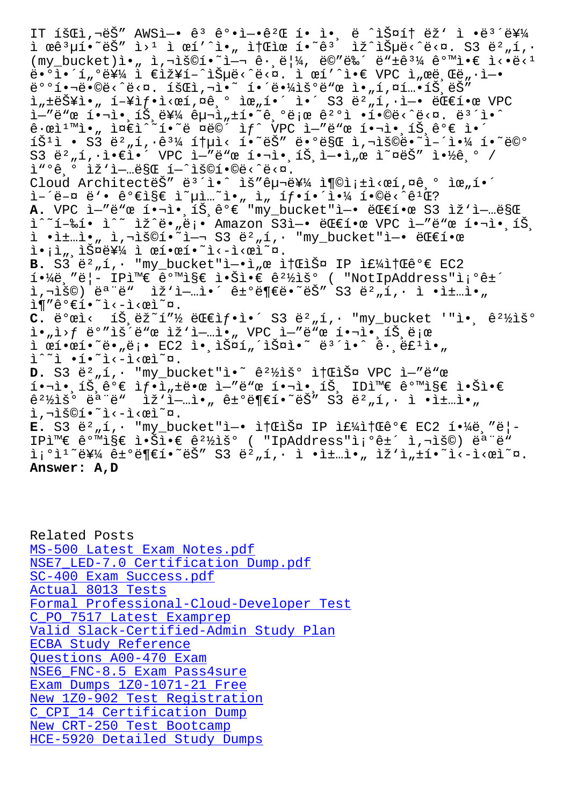I ŒÊ $\mu$ ī•ËS I/- I ŒI I•" I|ŒIŒ I•Ë IZ ISHE< E\N. SJ E-"I  $(my_bucket) i., \bar{i}, \bar{j} \leq 0$  ,  $i = 1, 2, \bar{e}$  ,  $i = 1, 2, \bar{e}$  ,  $i = 1, 2, \bar{e}$ ë.°ì.´í"°ë¥¼ ì €ìž¥í–^습ë‹^다. ì œí′^ì.€ VPC ì"œë Œë"·ì—•  $e^{O \circ f}$ .  $\ddot{o}$   $\ddot{o}$   $\ddot{o}$   $\ddot{o}$   $\ddot{o}$   $\ddot{o}$   $\ddot{o}$   $\ddot{o}$   $\ddot{o}$   $\ddot{o}$   $\ddot{o}$   $\ddot{o}$   $\ddot{o}$   $\ddot{o}$   $\ddot{o}$   $\ddot{o}$   $\ddot{o}$   $\ddot{o}$   $\ddot{o}$   $\ddot{o}$   $\ddot{o}$   $\ddot{o}$   $\ddot{o}$   $\ddot{o}$   $\ddot{o}$   $\ddot{o}$   $\$  $i_n$  is  $i_n$  i  $-i$  is  $j$  is  $i_n$  is  $i_n$  in  $i_n$  in  $i_n$  is  $i_n$  in  $i_n$  in  $i_n$  in  $i_n$  is  $i_n$  in  $i_n$  in  $i_n$  in  $i_n$  is  $i_n$  in  $i_n$  in  $i_n$  in  $i_n$  in  $i_n$  in  $i_n$  in  $i_n$  in  $i_n$  in  $i_n$  in  $i_n$  in  $i_n$  in  $i_n$  in i-"ë"œ 핬ì• ,íŠ ë¥¼ 구ì "±í•~ê ,°ë;œ ê<sup>2</sup>°ì •í•©ë<^ë<¤. ë<sup>3</sup>´ì•^  $\hat{e} \cdot \hat{e}$ ì $\sum_{n=1}^{\infty}$ i $\hat{e} \in \hat{h}$ io vece i vece i vece i vece i vece i vece i vece i vece i vece i vece i vece i vece i vece i vece i vece i vece i vece i vece i vece i vece i vece i vece i vece i vece i vece i íŠ $^1$ ì • S3 ë $^2$ "í, $\hat{e}^3$ ¼ 통ì< í•~는 ë•°ë§Œ ì,¬ìš©ë•~ì-´ì•¼ í•~ë©°  $S3$   $\ddot{e}^2$  ,  $\acute{1}$ ,  $\dot{e}$   $\dot{e}$   $\dot{e}$   $\dot{e}$   $\dot{V}$  VPC  $\ddot{e}$   $-\ddot{e}$   $\ddot{e}$   $\dot{q}$   $\dot{q}$   $\dot{q}$   $\dot{q}$   $\dot{q}$   $\dot{r}$   $\dot{q}$   $\dot{r}$   $\dot{r}$   $\dot{r}$   $\dot{r}$   $\dot{r}$   $\dot{r}$   $\dot{r}$   $\dot{r}$   $\dot$  $i''$  $0e$   $0$   $iZ$   $i-.e$   $SCE$   $i iS$  $01$  $0e$  $3e$ Cloud ArchitecteŠ" e3'i.^ ìš"구를 충족ì<œí,¤ê,° 위í.´  $i-1$ ë- $\alpha$  ë'• ê $\alpha$ eişe ì  $\mu$ i... i., i, íf•해야 í•©ë<  $\alpha$ ê1 $\alpha$ ? A. VPC ì—"ë"œ 핬ì• íŠ ê°€ "my\_bucket"ì—• 대한 S3 ìž'ì—…ë§Œ ì^~í-‰í• ì^~ ìž^ë•"ë¡• Amazon S3ì-• 대한 VPC ì-"ë"œ 핬ì• íŠ.  $i \cdot i \pm ... i \cdot n$  i, $\overline{i} \cdot \overline{i} \cdot \overline{i}$   $\overline{i} \cdot \overline{i} \cdot \overline{i}$  S3  $\overline{e}^2$ , $i \cdot \overline{i} \cdot \overline{i} \cdot \overline{i}$  bucket" $i \rightarrow \overline{e}$  $i \cdot i \cdot j$ , iФ를 ì œí•œí•~ì<-ì<œì~¤.  $B. S3 \ddot{e}^2$  , í, · "my\_bucket" $i$ -.i,  $e$  it  $E\ddot{S}$  IP if  $4i$   $t$   $E\ddot{e}$  EC2 í.<sup>1</sup>⁄ië "ë¦ - IPì<sup>m</sup>€ 같지 ì.Šì.€ ê<sup>21</sup>⁄iš° ( "NotIpAddress"ì;°ê±´  $\tilde{\mathbf{L}}$ , $\tilde{\mathbf{L}}$  $\tilde{\mathbf{S}}$ ( $\tilde{\mathbf{C}}$ )  $\tilde{\mathbf{C}}$   $\tilde{\mathbf{C}}$   $\tilde{\mathbf{C}}$   $\tilde{\mathbf{C}}$   $\tilde{\mathbf{C}}$   $\tilde{\mathbf{C}}$   $\tilde{\mathbf{C}}$   $\tilde{\mathbf{C}}$   $\tilde{\mathbf{C}}$   $\tilde{\mathbf{C}}$   $\tilde{\mathbf{C}}$   $\tilde{\mathbf{C}}$   $\tilde{\mathbf{C}}$   $\tilde{\mathbf{C}}$   $\tilde{\$  $i \in \mathbb{R}$ <sup>2</sup>  $e^{i \cdot \pi}$   $i \in \mathbb{R}$ .  $C.$   $\ddot{e}^o$ ϓ<  $1\ddot{S}$ , $\ddot{e}\ddot{z}^{\sim}1''\frac{1}{2}$   $\ddot{e}\ddot{E}$ if.  $S3$   $\ddot{e}^2$ <sub>n</sub>í, "my\_bucket '"ì.  $\hat{e}^2\frac{1}{2}$ iš $\circ$  $i \cdot n$ )  $f$  ë°" $i \leq n$   $i \leq n$   $i \leq n$ , VPC  $i - n$ ë" $x$   $i \leq n$ ,  $i \leq n$  $i \in \mathbb{R}$ • $\tilde{e}$ •  $\tilde{e}$ •,  $\tilde{e}$ • EC2  $i \cdot i \tilde{S}$ ¤í (iš¤i•~ ë<sup>32</sup>i•^ ê· ëf<sup>1</sup>i•  $i^*$ i •í•~ì<-i<œì~¤. D. S3 ë<sup>2</sup>,i, · "my\_bucket"ì.<sup>~</sup> ê<sup>21</sup>/iš<sup>o</sup> it fliš¤ VPC i-"ë"œ  $i \cdot \tilde{\lambda}$ ,  $i \times \tilde{\lambda}$   $j \in \mathbb{Z}$   $j \cdot \tilde{\lambda}$  ,  $j \in \mathbb{Z}$  if  $i \in \mathbb{Z}$  if  $i \in \mathbb{Z}$  if  $i \in \mathbb{Z}$  if  $i \in \mathbb{Z}$  if  $i \in \mathbb{Z}$  if  $j \in \mathbb{Z}$  if  $j \in \mathbb{Z}$  if  $j \in \mathbb{Z}$  if  $j \in \mathbb{Z}$  if  $j \in \mathbb{Z}$  if  $j \in \$  $\hat{e}^2$  $\hat{z}$ )  $\hat{e}^a$   $\hat{e}^a$   $\hat{e}^w$   $\hat{z}$   $\hat{z}$   $\hat{i}$   $\hat{z}$   $\hat{i}$   $\hat{z}$   $\hat{e}$   $\hat{e}$   $\hat{e}$   $\hat{e}$   $\hat{e}$   $\hat{z}$   $\hat{z}$   $\hat{z}$   $\hat{z}$   $\hat{z}$   $\hat{z}$   $\hat{z}$   $\hat{z}$   $\hat{z}$   $\hat{z}$   $\hat{z}$ ì,-iš©í•~ì<-i<œì~¤.  $E. S3 \ddot{e}^2$ ,í, · "my bucket"ì-• ì† $E_1$ Ф IP ì $E_2$ i† $E_1^2e^e \in EC2$  í• $\frac{1}{4}$ ë $\frac{1}{2}$ IP와 같지 않ì•€ ê<sup>2</sup>½ìš° ( "IpAddress"ì¡°ê±´ ì,¬ìš©) 모ë"  $i^0$ i<sup>1</sup> ev4 ê +  $e$ ë e te češ" s3 ë  $n, i$ , i •ì $\pm$ …ì•, iž'ì, $\pm i$ • Listichina. **Answer: A,D**

Related Posts MS-500 Latest Exam Notes.pdf NSE7 LED-7.0 Certification Dump.pdf SC-400 Exam Success.pdf Actual 8013 Tests [Formal Professional-Cloud-Developer](http://www.samrocktw.com/dump-Certification-Dump.pdf-727383/NSE7_LED-7.0-exam/) Test [C\\_PO\\_7517 Latest Exampr](http://www.samrocktw.com/dump-Exam-Success.pdf-515161/SC-400-exam/)ep Valid Slack-Certified-Admin Study Plan [ECBA Study Referen](http://www.samrocktw.com/dump-Actual--Tests-051616/8013-exam/)ce [Questions A00-470 Exam](http://www.samrocktw.com/dump-Formal--Test-405051/Professional-Cloud-Developer-exam/) [NSE6\\_FNC-8.5 Exam Pass4sure](http://www.samrocktw.com/dump-Valid--Study-Plan-050515/Slack-Certified-Admin-exam/) [Exam Dumps 1Z0-1071-](http://www.samrocktw.com/dump-Study-Reference-050516/ECBA-exam/)21 Free New 1Z0-902 Test Registration [C\\_CPI\\_14 Certification](http://www.samrocktw.com/dump-Questions--Exam-738484/A00-470-exam/) [Dump](http://www.samrocktw.com/dump-Exam-Pass4sure-373838/NSE6_FNC-8.5-exam/) New CRT-250 Test Bootcamp [HCE-5920 Detailed Study Dumps](http://www.samrocktw.com/dump-New--Test-Registration-838484/1Z0-902-exam/)